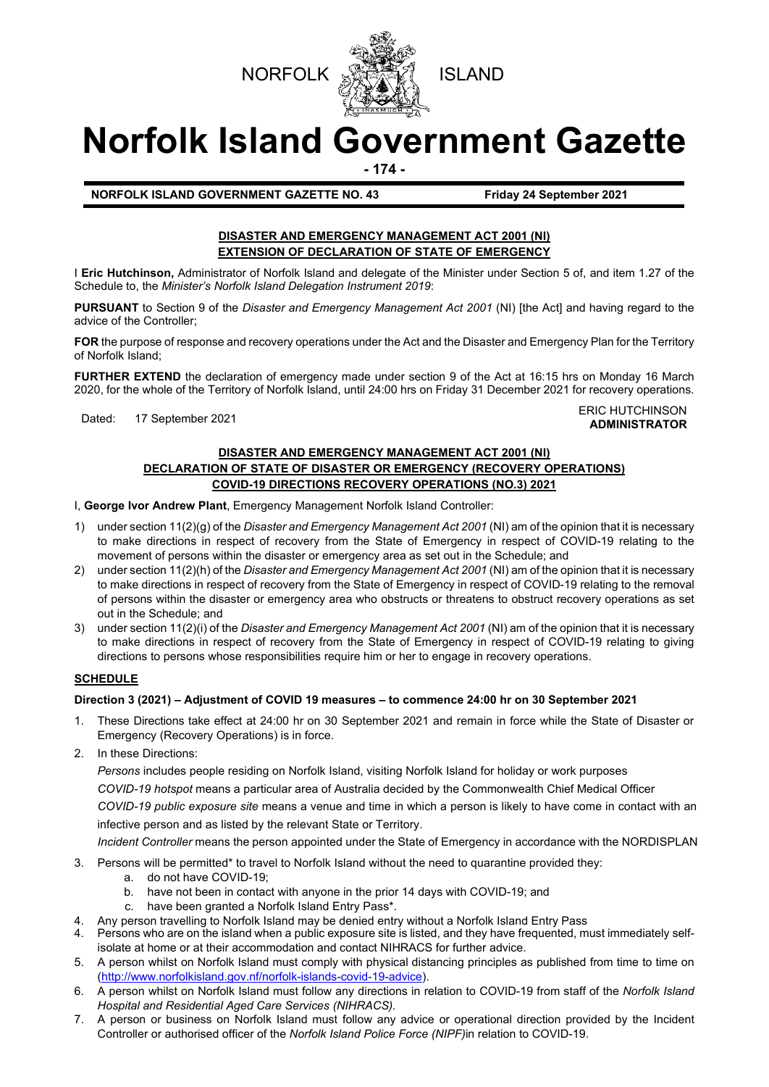



# **Norfolk Island Government Gazette**

**- 174 -**

**NORFOLK ISLAND GOVERNMENT GAZETTE NO. 43 Friday 24 September 2021**

## **DISASTER AND EMERGENCY MANAGEMENT ACT 2001 (NI) EXTENSION OF DECLARATION OF STATE OF EMERGENCY**

I **Eric Hutchinson,** Administrator of Norfolk Island and delegate of the Minister under Section 5 of, and item 1.27 of the Schedule to, the *Minister's Norfolk Island Delegation Instrument 2019*:

**PURSUANT** to Section 9 of the *Disaster and Emergency Management Act 2001* (NI) [the Act] and having regard to the advice of the Controller;

**FOR** the purpose of response and recovery operations under the Act and the Disaster and Emergency Plan for the Territory of Norfolk Island;

**FURTHER EXTEND** the declaration of emergency made under section 9 of the Act at 16:15 hrs on Monday 16 March 2020, for the whole of the Territory of Norfolk Island, until 24:00 hrs on Friday 31 December 2021 for recovery operations.

#### ERIC HUTCHINSON<br>Dated: 17 September 2021 **ERIC HUTCHINSON ADMINISTRATOR**

## **DISASTER AND EMERGENCY MANAGEMENT ACT 2001 (NI) DECLARATION OF STATE OF DISASTER OR EMERGENCY (RECOVERY OPERATIONS) COVID-19 DIRECTIONS RECOVERY OPERATIONS (NO.3) 2021**

I, **George Ivor Andrew Plant**, Emergency Management Norfolk Island Controller:

- 1) under section 11(2)(g) of the *Disaster and Emergency Management Act 2001* (NI) am of the opinion that it is necessary to make directions in respect of recovery from the State of Emergency in respect of COVID-19 relating to the movement of persons within the disaster or emergency area as set out in the Schedule; and
- 2) under section 11(2)(h) of the *Disaster and Emergency Management Act 2001* (NI) am of the opinion that it is necessary to make directions in respect of recovery from the State of Emergency in respect of COVID-19 relating to the removal of persons within the disaster or emergency area who obstructs or threatens to obstruct recovery operations as set out in the Schedule; and
- 3) under section 11(2)(i) of the *Disaster and Emergency Management Act 2001* (NI) am of the opinion that it is necessary to make directions in respect of recovery from the State of Emergency in respect of COVID-19 relating to giving directions to persons whose responsibilities require him or her to engage in recovery operations.

# **SCHEDULE**

## **Direction 3 (2021) – Adjustment of COVID 19 measures – to commence 24:00 hr on 30 September 2021**

- 1. These Directions take effect at 24:00 hr on 30 September 2021 and remain in force while the State of Disaster or Emergency (Recovery Operations) is in force.
- 2. In these Directions:

*Persons* includes people residing on Norfolk Island, visiting Norfolk Island for holiday or work purposes *COVID-19 hotspot* means a particular area of Australia decided by the Commonwealth Chief Medical Officer

*COVID-19 public exposure site* means a venue and time in which a person is likely to have come in contact with an infective person and as listed by the relevant State or Territory.

*Incident Controller* means the person appointed under the State of Emergency in accordance with the NORDISPLAN

- 3. Persons will be permitted\* to travel to Norfolk Island without the need to quarantine provided they:
	- a. do not have COVID-19;
	- b. have not been in contact with anyone in the prior 14 days with COVID-19; and
	- c. have been granted a Norfolk Island Entry Pass\*.
- 4. Any person travelling to Norfolk Island may be denied entry without a Norfolk Island Entry Pass
- 4. Persons who are on the island when a public exposure site is listed, and they have frequented, must immediately selfisolate at home or at their accommodation and contact NIHRACS for further advice.
- 5. A person whilst on Norfolk Island must comply with physical distancing principles as published from time to time on [\(http://www.norfolkisland.gov.nf/norfolk-islands-covid-19-advice\)](http://www.norfolkisland.gov.nf/norfolk-islands-covid-19-advice).
- 6. A person whilst on Norfolk Island must follow any directions in relation to COVID-19 from staff of the *Norfolk Island Hospital and Residential Aged Care Services (NIHRACS).*
- 7. A person or business on Norfolk Island must follow any advice or operational direction provided by the Incident Controller or authorised officer of the *Norfolk Island Police Force (NIPF)*in relation to COVID-19.